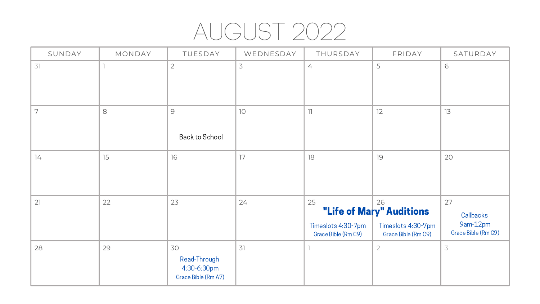# AUGUST 2022

| SUNDAY | MONDAY | TUESDAY                                                  | WEDNESDAY | THURSDAY                                        | FRIDAY                                                                      | SATURDAY                                           |
|--------|--------|----------------------------------------------------------|-----------|-------------------------------------------------|-----------------------------------------------------------------------------|----------------------------------------------------|
| 31     |        | $\overline{2}$                                           | 3         | 4                                               | 5                                                                           | 6                                                  |
| 7      | 8      | $\overline{9}$<br><b>Back to School</b>                  | 10        | 11                                              | 12                                                                          | 13                                                 |
| 74     | 15     | 16                                                       | 17        | 18                                              | 19                                                                          | 20                                                 |
| 21     | 22     | 23                                                       | 24        | 25<br>Timeslots 4:30-7pm<br>Grace Bible (Rm C9) | 26<br>"Life of Mary" Auditions<br>Timeslots 4:30-7pm<br>Grace Bible (Rm C9) | 27<br>Callbacks<br>9am-12pm<br>Grace Bible (Rm C9) |
| 28     | 29     | 30<br>Read-Through<br>4:30-6:30pm<br>Grace Bible (Rm A7) | 31        |                                                 | $\overline{2}$                                                              | $\overline{3}$                                     |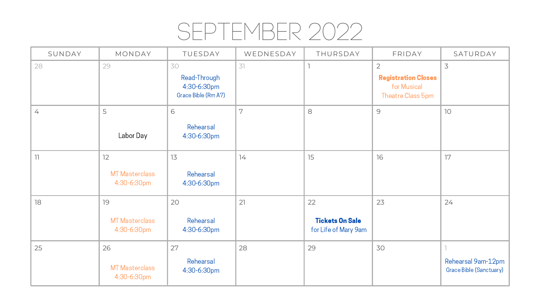#### SEPTEMBER 2022

| SUNDAY       | MONDAY                                     | TUESDAY                                                  | WEDNESDAY | THURSDAY                                             | FRIDAY                                                                           | SATURDAY                                      |
|--------------|--------------------------------------------|----------------------------------------------------------|-----------|------------------------------------------------------|----------------------------------------------------------------------------------|-----------------------------------------------|
| 28           | 29                                         | 30<br>Read-Through<br>4:30-6:30pm<br>Grace Bible (Rm A7) | 31        |                                                      | $\overline{2}$<br><b>Registration Closes</b><br>for Musical<br>Theatre Class 5pm | 3                                             |
| 4            | 5<br>Labor Day                             | 6<br>Rehearsal<br>4:30-6:30pm                            | 7         | 8                                                    | 9                                                                                | 10                                            |
| $\mathbb{I}$ | 12<br><b>MT Masterclass</b><br>4:30-6:30pm | 13<br>Rehearsal<br>4:30-6:30pm                           | 74        | 15                                                   | 16                                                                               | 17                                            |
| 18           | 19<br><b>MT Masterclass</b><br>4:30-6:30pm | 20<br>Rehearsal<br>4:30-6:30pm                           | 21        | 22<br><b>Tickets On Sale</b><br>for Life of Mary 9am | 23                                                                               | 24                                            |
| 25           | 26<br><b>MT Masterclass</b><br>4:30-6:30pm | 27<br>Rehearsal<br>4:30-6:30pm                           | 28        | 29                                                   | 30                                                                               | Rehearsal 9am-12pm<br>Grace Bible (Sanctuary) |

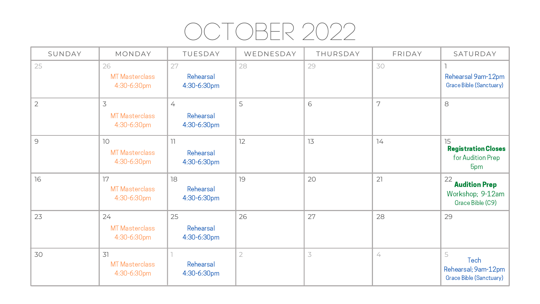# OCTOBER 2022

| SUNDAY         | MONDAY                                     | TUESDAY                                          | WEDNESDAY | THURSDAY | FRIDAY | SATURDAY                                                           |
|----------------|--------------------------------------------|--------------------------------------------------|-----------|----------|--------|--------------------------------------------------------------------|
| 25             | 26<br><b>MT Masterclass</b><br>4:30-6:30pm | 27<br>Rehearsal<br>4:30-6:30pm                   | 28        | 29       | 30     | Rehearsal 9am-12pm<br>Grace Bible (Sanctuary)                      |
| $\overline{2}$ | 3<br><b>MT Masterclass</b><br>4:30-6:30pm  | $\frac{1}{\sqrt{2}}$<br>Rehearsal<br>4:30-6:30pm | 5         | 6        | 7      | 8                                                                  |
| 9              | 10<br><b>MT Masterclass</b><br>4:30-6:30pm | 11<br>Rehearsal<br>4:30-6:30pm                   | 12        | 13       | 14     | 15<br><b>Registration Closes</b><br>for Audition Prep<br>5pm       |
| 16             | 17<br><b>MT Masterclass</b><br>4:30-6:30pm | 18<br>Rehearsal<br>4:30-6:30pm                   | 19        | 20       | 21     | 22<br><b>Audition Prep</b><br>Workshop; 9-12am<br>Grace Bible (C9) |
| 23             | 24<br><b>MT Masterclass</b><br>4:30-6:30pm | 25<br>Rehearsal<br>4:30-6:30pm                   | 26        | 27       | 28     | 29                                                                 |
| 30             | 31<br><b>MT Masterclass</b><br>4:30-6:30pm | Rehearsal<br>4:30-6:30pm                         |           | 3        | 4      | 5<br>Tech<br>Rehearsal; 9am-12pm<br>Grace Bible (Sanctuary)        |

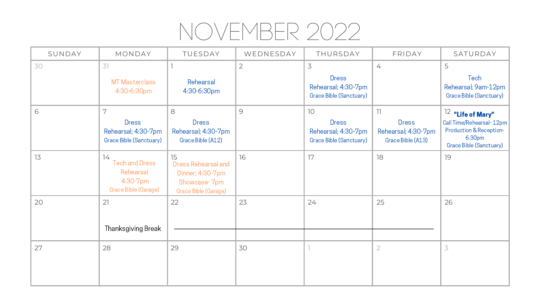# NOVEMBER 2022

| SUNDAY | MONDAY                                                                            | TUESDAY                                                                                      | WEDNESDAY      | THURSDAY                                                                    | FRIDAY                                                                               | SATURDAY                                                                                                                                      |
|--------|-----------------------------------------------------------------------------------|----------------------------------------------------------------------------------------------|----------------|-----------------------------------------------------------------------------|--------------------------------------------------------------------------------------|-----------------------------------------------------------------------------------------------------------------------------------------------|
| 30     | 31<br><b>MT Masterclass</b><br>4:30-6:30pm                                        | Rehearsal<br>4:30-6:30pm                                                                     | $\overline{2}$ | 3<br><b>Dress</b><br>Rehearsal; 4:30-7pm<br><b>Grace Bible (Sanctuary)</b>  | $\frac{1}{\sqrt{2}}$                                                                 | 5<br>Tech<br>Rehearsal; 9am-12pm<br>Grace Bible (Sanctuary)                                                                                   |
| 6      | 7<br><b>Dress</b><br>Rehearsal; 4:30-7pm<br><b>Grace Bible (Sanctuary)</b>        | 8<br><b>Dress</b><br>Rehearsal; 4:30-7pm<br>Grace Bible (A12)                                | 9              | 10<br><b>Dress</b><br>Rehearsal; 4:30-7pm<br><b>Grace Bible (Sanctuary)</b> | $\overline{\phantom{a}}$<br><b>Dress</b><br>Rehearsal; 4:30-7pm<br>Grace Bible (A13) | $12$ "Life of Mary"<br>Call Time/Rehearsal-12pm<br><b>Production &amp; Reception-</b><br>6:30 <sub>pm</sub><br><b>Grace Bible (Sanctuary)</b> |
| 13     | 14<br><b>Tech and Dress</b><br>Rehearsal<br>$4:30 - 7$ pm<br>Grace Bible (Garage) | 15<br><b>Dress Rehearsal and</b><br>Dinner; 4:30-7pm<br>Showcase-7pm<br>Grace Bible (Garage) | 16             | 17                                                                          | 18                                                                                   | 19                                                                                                                                            |
| 20     | 21<br><b>Thanksgiving Break</b>                                                   | 22                                                                                           | 23             | 24                                                                          | 25                                                                                   | 26                                                                                                                                            |
| 27     | 28                                                                                | 29                                                                                           | 30             |                                                                             | $\overline{2}$                                                                       |                                                                                                                                               |